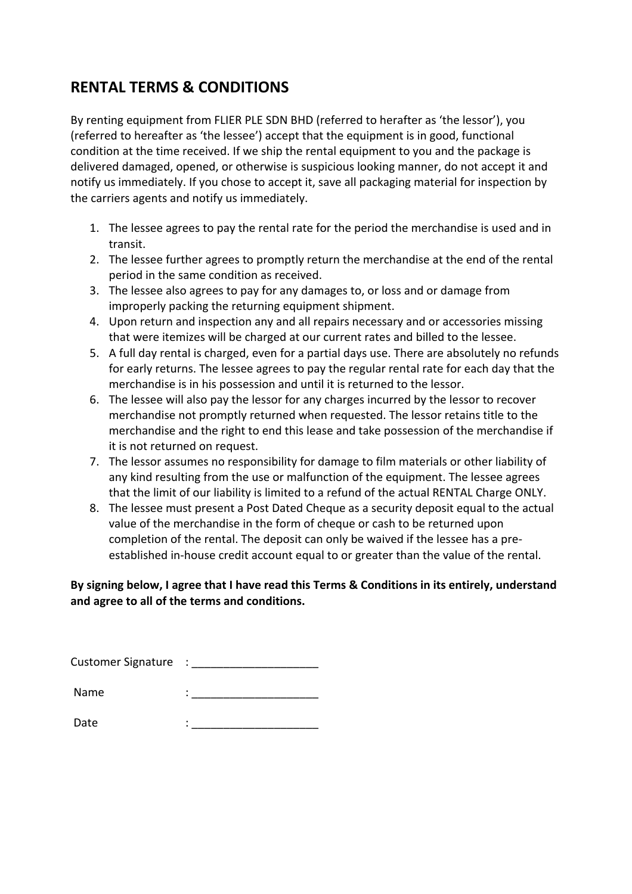## **RENTAL TERMS & CONDITIONS**

By renting equipment from FLIER PLE SDN BHD (referred to herafter as 'the lessor'), you (referred to hereafter as 'the lessee') accept that the equipment is in good, functional condition at the time received. If we ship the rental equipment to you and the package is delivered damaged, opened, or otherwise is suspicious looking manner, do not accept it and notify us immediately. If you chose to accept it, save all packaging material for inspection by the carriers agents and notify us immediately.

- 1. The lessee agrees to pay the rental rate for the period the merchandise is used and in transit.
- 2. The lessee further agrees to promptly return the merchandise at the end of the rental period in the same condition as received.
- 3. The lessee also agrees to pay for any damages to, or loss and or damage from improperly packing the returning equipment shipment.
- 4. Upon return and inspection any and all repairs necessary and or accessories missing that were itemizes will be charged at our current rates and billed to the lessee.
- 5. A full day rental is charged, even for a partial days use. There are absolutely no refunds for early returns. The lessee agrees to pay the regular rental rate for each day that the merchandise is in his possession and until it is returned to the lessor.
- 6. The lessee will also pay the lessor for any charges incurred by the lessor to recover merchandise not promptly returned when requested. The lessor retains title to the merchandise and the right to end this lease and take possession of the merchandise if it is not returned on request.
- 7. The lessor assumes no responsibility for damage to film materials or other liability of any kind resulting from the use or malfunction of the equipment. The lessee agrees that the limit of our liability is limited to a refund of the actual RENTAL Charge ONLY.
- 8. The lessee must present a Post Dated Cheque as a security deposit equal to the actual value of the merchandise in the form of cheque or cash to be returned upon completion of the rental. The deposit can only be waived if the lessee has a preestablished in-house credit account equal to or greater than the value of the rental.

## **By signing below, I agree that I have read this Terms & Conditions in its entirely, understand and agree to all of the terms and conditions.**

| <b>Customer Signature</b> | ٠ |
|---------------------------|---|
| Name                      | ٠ |
| $\sim$<br>. .             |   |

Date : \_\_\_\_\_\_\_\_\_\_\_\_\_\_\_\_\_\_\_\_